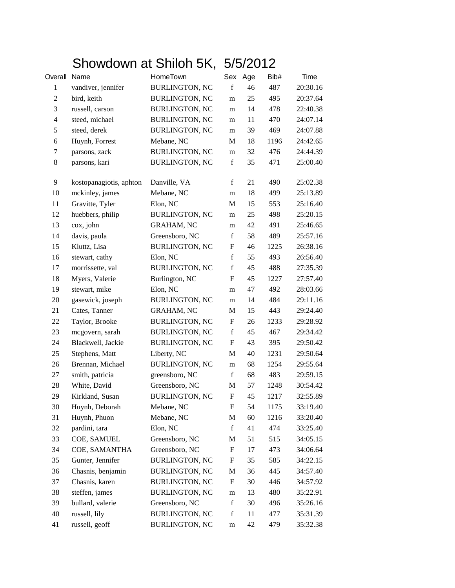## Showdown at Shiloh 5K, 5/5/2012

| Overall        | Name                    | HomeTown              | Sex                       | Age | Bib# | Time     |
|----------------|-------------------------|-----------------------|---------------------------|-----|------|----------|
| $\mathbf{1}$   | vandiver, jennifer      | <b>BURLINGTON, NC</b> | $\mathbf f$               | 46  | 487  | 20:30.16 |
| 2              | bird, keith             | <b>BURLINGTON, NC</b> | m                         | 25  | 495  | 20:37.64 |
| 3              | russell, carson         | <b>BURLINGTON, NC</b> | m                         | 14  | 478  | 22:40.38 |
| $\overline{4}$ | steed, michael          | <b>BURLINGTON, NC</b> | m                         | 11  | 470  | 24:07.14 |
| 5              | steed, derek            | <b>BURLINGTON, NC</b> | m                         | 39  | 469  | 24:07.88 |
| 6              | Huynh, Forrest          | Mebane, NC            | M                         | 18  | 1196 | 24:42.65 |
| $\tau$         | parsons, zack           | <b>BURLINGTON, NC</b> | m                         | 32  | 476  | 24:44.39 |
| $\,8\,$        | parsons, kari           | <b>BURLINGTON, NC</b> | $\mathbf f$               | 35  | 471  | 25:00.40 |
| 9              | kostopanagiotis, aphton | Danville, VA          | $\mathbf f$               | 21  | 490  | 25:02.38 |
| 10             | mckinley, james         | Mebane, NC            | m                         | 18  | 499  | 25:13.89 |
| 11             | Gravitte, Tyler         | Elon, NC              | M                         | 15  | 553  | 25:16.40 |
| 12             | huebbers, philip        | <b>BURLINGTON, NC</b> | m                         | 25  | 498  | 25:20.15 |
| 13             | cox, john               | <b>GRAHAM, NC</b>     | m                         | 42  | 491  | 25:46.65 |
| 14             | davis, paula            | Greensboro, NC        | $\mathbf f$               | 58  | 489  | 25:57.16 |
| 15             | Kluttz, Lisa            | <b>BURLINGTON, NC</b> | F                         | 46  | 1225 | 26:38.16 |
| 16             | stewart, cathy          | Elon, NC              | $\mathbf f$               | 55  | 493  | 26:56.40 |
| 17             | morrissette, val        | <b>BURLINGTON, NC</b> | $\mathbf f$               | 45  | 488  | 27:35.39 |
| 18             | Myers, Valerie          | Burlington, NC        | $\mathbf F$               | 45  | 1227 | 27:57.40 |
| 19             | stewart, mike           | Elon, NC              | m                         | 47  | 492  | 28:03.66 |
| 20             | gasewick, joseph        | <b>BURLINGTON, NC</b> | m                         | 14  | 484  | 29:11.16 |
| 21             | Cates, Tanner           | <b>GRAHAM, NC</b>     | M                         | 15  | 443  | 29:24.40 |
| 22             | Taylor, Brooke          | <b>BURLINGTON, NC</b> | F                         | 26  | 1233 | 29:28.92 |
| 23             | mcgovern, sarah         | <b>BURLINGTON, NC</b> | $\mathbf f$               | 45  | 467  | 29:34.42 |
| 24             | Blackwell, Jackie       | <b>BURLINGTON, NC</b> | F                         | 43  | 395  | 29:50.42 |
| 25             | Stephens, Matt          | Liberty, NC           | M                         | 40  | 1231 | 29:50.64 |
| 26             | Brennan, Michael        | <b>BURLINGTON, NC</b> | m                         | 68  | 1254 | 29:55.64 |
| 27             | smith, patricia         | greensboro, NC        | $\mathbf f$               | 68  | 483  | 29:59.15 |
| 28             | White, David            | Greensboro, NC        | M                         | 57  | 1248 | 30:54.42 |
| 29             | Kirkland, Susan         | <b>BURLINGTON, NC</b> | $\boldsymbol{\mathrm{F}}$ | 45  | 1217 | 32:55.89 |
| 30             | Huynh, Deborah          | Mebane, NC            | $\boldsymbol{\mathrm{F}}$ | 54  | 1175 | 33:19.40 |
| 31             | Huynh, Phuon            | Mebane, NC            | M                         | 60  | 1216 | 33:20.40 |
| 32             | pardini, tara           | Elon, NC              | $\mathbf f$               | 41  | 474  | 33:25.40 |
| 33             | COE, SAMUEL             | Greensboro, NC        | M                         | 51  | 515  | 34:05.15 |
| 34             | COE, SAMANTHA           | Greensboro, NC        | F                         | 17  | 473  | 34:06.64 |
| 35             | Gunter, Jennifer        | <b>BURLINGTON, NC</b> | F                         | 35  | 585  | 34:22.15 |
| 36             | Chasnis, benjamin       | <b>BURLINGTON, NC</b> | M                         | 36  | 445  | 34:57.40 |
| 37             | Chasnis, karen          | <b>BURLINGTON, NC</b> | F                         | 30  | 446  | 34:57.92 |
| 38             | steffen, james          | <b>BURLINGTON, NC</b> | m                         | 13  | 480  | 35:22.91 |
| 39             | bullard, valerie        | Greensboro, NC        | $\mathbf f$               | 30  | 496  | 35:26.16 |
| 40             | russell, lily           | <b>BURLINGTON, NC</b> | $\mathbf f$               | 11  | 477  | 35:31.39 |
| 41             | russell, geoff          | <b>BURLINGTON, NC</b> | m                         | 42  | 479  | 35:32.38 |